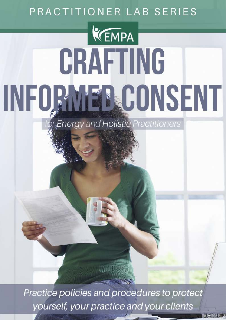# PRACTITIONER LAB SERIES

# KEMPA CRAFTING INFORMER CONSENT

**Energy and Holistic Practitioners** 

Practice policies and procedures to protect yourself, your practice and your clients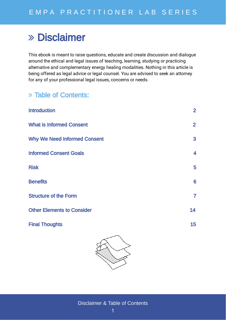## Disclaimer

This ebook is meant to raise questions, educate and create discussion and dialogue around the ethical and legal issues of teaching, learning, studying or practicing alternative and complementary energy healing modalities. Nothing in this article is being offered as legal advice or legal counsel. You are advised to seek an attorney for any of your professional legal issues, concerns or needs.

### Table of Contents:

| <b>Introduction</b>                 | 2 <sup>1</sup> |
|-------------------------------------|----------------|
| <b>What is Informed Consent</b>     | $\overline{2}$ |
| <b>Why We Need Informed Consent</b> | 3              |
| <b>Informed Consent Goals</b>       | 4              |
| <b>Risk</b>                         | 5              |
| <b>Benefits</b>                     | 6              |
| <b>Structure of the Form</b>        | $\overline{7}$ |
| <b>Other Elements to Consider</b>   | 14             |
| <b>Final Thoughts</b>               | 15             |
|                                     |                |



Disclaimer & Table of Contents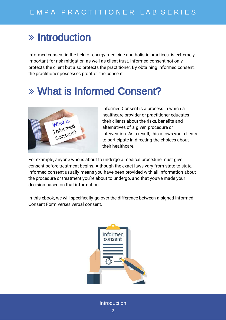## $\gg$  Introduction

Informed consent in the field of energy medicine and holistic practices is extremely important for risk mitigation as well as client trust. Informed consent not only protects the client but also protects the practitioner. By obtaining informed consent, the practitioner possesses proof of the consent.

# What is Informed Consent?



Informed Consent is a process in which a healthcare provider or practitioner educates their clients about the risks, benefits and alternatives of a given procedure or intervention. As a result, this allows your clients to participate in directing the choices about their healthcare.

For example, anyone who is about to undergo a medical procedure must give consent before treatment begins. Although the exact laws vary from state to state, informed consent usually means you have been provided with all information about the procedure or treatment you're about to undergo, and that you've made your decision based on that information.

In this ebook, we will specifically go over the difference between a signed Informed Consent Form verses verbal consent.



Introduction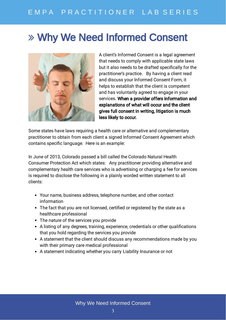## E M P A P R A C T I T I O N E R L A B S E R I E S

## Why We Need Informed Consent



A client's Informed Consent is a legal agreement that needs to comply with applicable state laws but it also needs to be drafted specifically for the practitioner's practice. By having a client read and discuss your Informed Consent Form, it helps to establish that the client is competent and has voluntarily agreed to engage in your services. When a provider offers information and explanations of what will occur and the client gives full consent in writing, litigation is much less likely to occur.

Some states have laws requiring a health care or alternative and complementary practitioner to obtain from each client a signed Informed Consent Agreement which contains specific language. Here is an example:

In June of 2013, Colorado passed a bill called the Colorado Natural Health Consumer Protection Act which states: Any practitioner providing alternative and complementary health care services who is advertising or charging a fee for services is required to disclose the following in a plainly worded written statement to all clients:

- Your name, business address, telephone number, and other contact information
- The fact that you are not licensed, certified or registered by the state as a healthcare professional
- The nature of the services you provide
- A listing of any degrees, training, experience, credentials or other qualifications that you hold regarding the services you provide
- A statement that the client should discuss any recommendations made by you with their primary care medical professional
- A statement indicating whether you carry Liability Insurance or not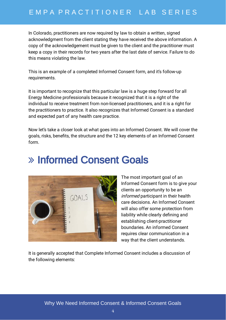## E M P A P R A C T I T I O N E R L A B S E R I E S

In Colorado, practitioners are now required by law to obtain a written, signed acknowledgment from the client stating they have received the above information. A copy of the acknowledgement must be given to the client and the practitioner must keep a copy in their records for two years after the last date of service. Failure to do this means violating the law.

This is an example of a completed Informed Consent form, and it's follow-up requirements.

It is important to recognize that this particular law is a huge step forward for all Energy Medicine professionals because it recognized that it is a right of the individual to receive treatment from non-licensed practitioners, and it is a right for the practitioners to practice. It also recognizes that Informed Consent is a standard and expected part of any health care practice.

Now let's take a closer look at what goes into an Informed Consent. We will cover the goals, risks, benefits, the structure and the 12 key elements of an Informed Consent form.

## Informed Consent Goals



The most important goal of an Informed Consent form is to give your clients an opportunity to be an *informed* participant in their health care decisions. An Informed Consent will also offer some protection from liability while clearly defining and establishing client-practitioner boundaries. An informed Consent requires clear communication in a way that the client understands.

It is generally accepted that Complete Informed Consent includes a discussion of the following elements: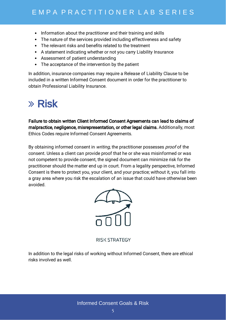- Information about the practitioner and their training and skills
- The nature of the services provided including effectiveness and safety
- The relevant risks and benefits related to the treatment
- A statement indicating whether or not you carry Liability Insurance
- Assessment of patient understanding
- The acceptance of the intervention by the patient

In addition, insurance companies may require a Release of Liability Clause to be included in a written Informed Consent document in order for the practitioner to obtain Professional Liability Insurance.

## $\lambda$  Risk

malpractice, negligence, misrepresentation, or other legal claims. Additionally, most Ethics Codes require Informed Consent Agreements. Failure to obtain written Client Informed Consent Agreements can lead to claims of

By obtaining informed consent in *writing*, the practitioner possesses *proof* of the consent. Unless a client can provide proof that he or she was misinformed or was not competent to provide consent, the signed document can minimize risk for the practitioner should the matter end up in court. From a legality perspective, Informed Consent is there to protect you, your client, and your practice; without it, you fall into a gray area where you risk the escalation of an issue that could have otherwise been avoided.



**RISK STRATEGY** 

In addition to the legal risks of working without Informed Consent, there are ethical risks involved as well.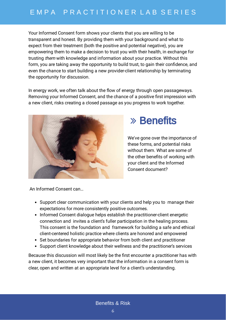Your Informed Consent form shows your clients that you are willing to be transparent and honest. By providing them with your background and what to expect from their treatment (both the positive and potential negative), you are empowering them to make a decision to trust you with their health, in exchange for trusting *them* with knowledge and information about your practice. Without this form, you are taking away the opportunity to build trust, to gain their confidence, and even the chance to start building a new provider-client relationship by terminating the opportunity for discussion.

In energy work, we often talk about the flow of energy through open passageways. Removing your Informed Consent, and the chance of a positive first impression with a new client, risks creating a closed passage as you progress to work together.



## Benefits

We've gone over the importance of these forms, and potential risks without them. What are some of the other benefits of working with your client and the Informed Consent document?

An Informed Consent can…

- Support clear communication with your clients and help you to manage their expectations for more consistently positive outcomes.
- Informed Consent dialogue helps establish the practitioner-client energetic connection and invites a client's fuller participation in the healing process. This consent is the foundation and framework for building a safe and ethical client-centered holistic practice where clients are honored and empowered
- Set boundaries for appropriate behavior from both client and practitioner
- Support client knowledge about their wellness and the practitioner's services

Because this discussion will most likely be the first encounter a practitioner has with a new client, it becomes very important that the information in a consent form is clear, open and written at an appropriate level for a client's understanding.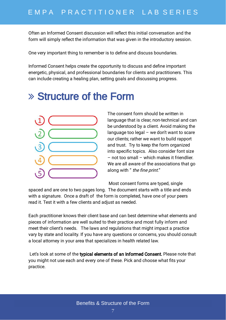Often an Informed Consent discussion will reflect this initial conversation and the form will simply reflect the information that was given in the introductory session.

One very important thing to remember is to define and discuss boundaries.

Informed Consent helps create the opportunity to discuss and define important energetic, physical, and professional boundaries for clients and practitioners. This can include creating a healing plan, setting goals and discussing progress.

## Structure of the Form



The consent form should be written in language that is clear, non-technical and can be understood by a client. Avoid making the language too legal – we don't want to scare our clients; rather we want to build rapport and trust. Try to keep the form organized into specific topics. Also consider font size – not too small – which makes it friendlier. We are all aware of the associations that go along with " the fine print."

Most consent forms are typed, single

spaced and are one to two pages long. The document starts with a title and ends with a signature. Once a draft of the form is completed, have one of your peers read it. Test it with a few clients and adjust as needed.

Each practitioner knows their client base and can best determine what elements and pieces of information are well suited to their practice and most fully inform and meet their client's needs. The laws and regulations that might impact a practice vary by state and locality. If you have any questions or concerns, you should consult a local attorney in your area that specializes in health related law.

Let's look at some of the **typical elements of an Informed Consent.** Please note that you might not use each and every one of these. Pick and choose what fits your practice.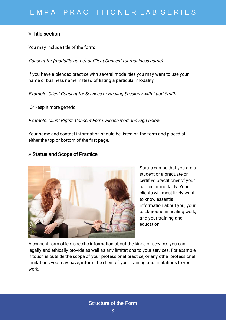#### $\gg$  Title section

You may include title of the form:

Consent for (modality name) or Client Consent for (business name)

If you have a blended practice with several modalities you may want to use your name or business name instead of listing a particular modality.

Example: Client Consent for Services or Healing Sessions with Lauri Smith

Or keep it more generic:

Example: Client Rights Consent Form: Please read and sign below.

Your name and contact information should be listed on the form and placed at either the top or bottom of the first page.

#### Status and Scope of Practice



Status can be that you are a student or a graduate or certified practitioner of your particular modality. Your clients will most likely want to know essential information about you, your background in healing work, and your training and education.

A consent form offers specific information about the kinds of services you can legally and ethically provide as well as any limitations to your services. For example, if touch is outside the scope of your professional practice, or any other professional limitations you may have, inform the client of your training and limitations to your work.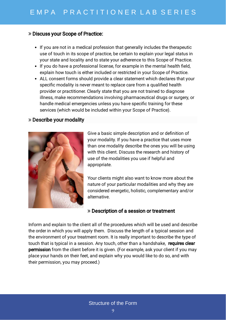#### Discuss your Scope of Practice:

- If you are not in a medical profession that generally includes the therapeutic use of touch in its scope of practice, be certain to explain your legal status in your state and locality and to state your adherence to this Scope of Practice.
- $\bullet$  If you do have a professional license, for example in the mental health field, explain how touch is either included or restricted in your Scope of Practice.
- ALL consent forms should provide a clear statement which declares that your specific modality is never meant to replace care from a qualified health provider or practitioner. Clearly state that you are not trained to diagnose illness, make recommendations involving pharmaceutical drugs or surgery, or handle medical emergencies unless you have specific training for these services (which would be included within your Scope of Practice).

#### Describe your modality



Give a basic simple description and or definition of your modality. If you have a practice that uses more than one modality describe the ones you will be using with this client. Discuss the research and history of use of the modalities you use if helpful and appropriate.

Your clients might also want to know more about the nature of your particular modalities and why they are considered energetic, holistic, complementary and/or alternative.

#### Description of a session or treatment

Inform and explain to the client all of the procedures which will be used and describe the order in which you will apply them. Discuss the length of a typical session and the environment of your treatment room. It is really important to describe the type of touch that is typical in a session. Any touch, other than a handshake, requires clear permission from the client before it is given. (For example, ask your client if you may place your hands on their feet, and explain why you would like to do so, and with their permission, you may proceed.)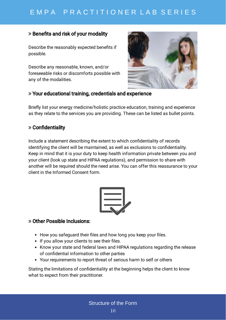## E M P A P R A C T I T I O N E R L A B S E R I E S

#### $\gg$  Benefits and risk of your modality

Describe the reasonably expected benefits if possible.

Describe any reasonable, known, and/or foreseeable risks or discomforts possible with any of the modalities.



#### Your educational training, credentials and experience

Briefly list your energy medicine/holistic practice education, training and experience as they relate to the services you are providing. These can be listed as bullet points.

#### $\gg$  Confidentiality

Include a statement describing the extent to which confidentiality of records identifying the client will be maintained, as well as exclusions to confidentiality. Keep in mind that it is your duty to keep health information private between you and your client (look up state and HIPAA regulations), and permission to share with another will be required should the need arise. You can offer this reassurance to your client in the Informed Consent form.



#### Other Possible Inclusions:

- How you safeguard their files and how long you keep your files.
- If you allow your clients to see their files.
- Know your state and federal laws and HIPAA regulations regarding the release of confidential information to other parties
- Your requirements to report threat of serious harm to self or others

Stating the limitations of confidentiality at the beginning helps the client to know what to expect from their practitioner.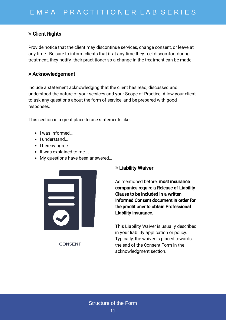#### $\gg$  Client Rights

Provide notice that the client may discontinue services, change consent, or leave at any time. Be sure to inform clients that if at any time they feel discomfort during treatment, they notify their practitioner so a change in the treatment can be made.

#### Acknowledgement

Include a statement acknowledging that the client has read, discussed and understood the nature of your services and your Scope of Practice. Allow your client to ask any questions about the form of service, and be prepared with good responses.

This section is a great place to use statements like:

- $\bullet$  I was informed...
- I understand...
- I hereby agree...
- It was explained to me....
- My questions have been answered…



**CONSENT** 

#### Liability Waiver

As mentioned before, most insurance companies require a Release of Liability Clause to be included in a written Informed Consent document in order for the practitioner to obtain Professional Liability Insurance.

This Liability Waiver is usually described in your liability application or policy. Typically, the waiver is placed towards the end of the Consent Form in the acknowledgment section.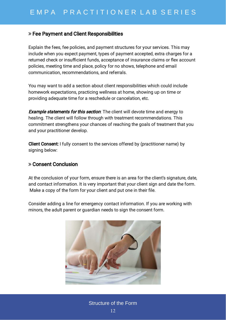#### Fee Payment and Client Responsibilities

Explain the fees, fee policies, and payment structures for your services. This may include when you expect payment, types of payment accepted, extra charges for a returned check or insufficient funds, acceptance of insurance claims or flex account policies, meeting time and place, policy for no shows, telephone and email communication, recommendations, and referrals.

You may want to add a section about client responsibilities which could include homework expectations, practicing wellness at home, showing up on time or providing adequate time for a reschedule or cancelation, etc.

**Example statements for this section**. The client will devote time and energy to healing. The client will follow through with treatment recommendations. This commitment strengthens your chances of reaching the goals of treatment that you and your practitioner develop.

**Client Consent:** I fully consent to the services offered by (practitioner name) by signing below:

#### Consent Conclusion

At the conclusion of your form, ensure there is an area for the client's signature, date, and contact information. It is very important that your client sign and date the form. Make a copy of the form for your client and put one in their file.

Consider adding a line for emergency contact information. If you are working with minors, the adult parent or guardian needs to sign the consent form.

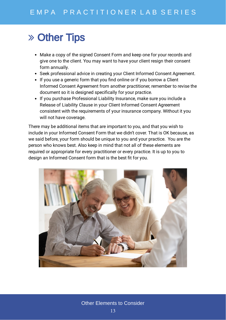## Other Tips

- Make a copy of the signed Consent Form and keep one for your records and give one to the client. You may want to have your client resign their consent form annually.
- Seek professional advice in creating your Client Informed Consent Agreement.
- If you use a generic form that you find online or if you borrow a Client Informed Consent Agreement from another practitioner, remember to revise the document so it is designed specifically for your practice.
- If you purchase Professional Liability Insurance, make sure you include a Release of Liability Clause in your Client Informed Consent Agreement consistent with the requirements of your insurance company. Without it you will not have coverage.

There may be additional items that are important to you, and that you wish to include in your Informed Consent Form that we didn't cover. That is OK because, as we said before, your form should be unique to you and your practice. You are the person who knows best. Also keep in mind that not all of these elements are required or appropriate for every practitioner or every practice. It is up to you to design an Informed Consent form that is the best fit for you.